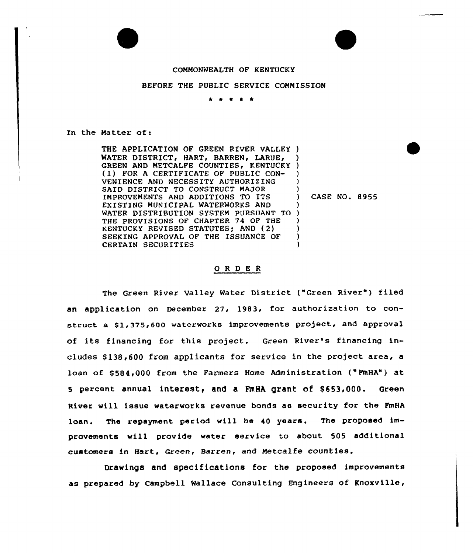## COMMONWEALTH OF KENTUCKY

## BEFORE THE PUBLIC SERVICE COMMISSION

\* \*

In the Matter of:

THE APPLICATION OF GREEN RIVER VALLEY ) WATER DISTRICT, HART, BARREN, LARUE, GREEN AND METCALFE COUNTIES, KENTUCKY (1) FOR <sup>A</sup> CERTIFICATE OF PUBLIC CON-VENIENCE AND NECESSITY AUTHORIZING SAID DISTRICT TO CONSTRUCT MAJOR IMPROVEMENTS AND ADDITIONS TO ITS EXISTING MUNICIPAL WATERWORKS AND WATER DISTRIBUTION SYSTEM PURSUANT TO THE PROVISIONS OF CHAPTER 74 OF THE KENTUCKY REVISED STATUTES; AND (2) SEEKING APPROVAL OF THE ISSUANCE OF CERTAIN SECURITIES ) ) ) ) ) ) ) ) ) ) )

) CASE NO. 8955

## ORDER

The Green River Valley Water District ("Green River") filed an application on December 27, 1983, for authorization to construct a \$1,375,600 waterworks improvements project, and approval of its financing for this project. Green River's financing includes \$ 138»600 from applicants for service in the project area, a loan of \$ 584,000 from the Farmers Home Administration ("FmHA") at 5 percent annual interest, and a FmHA grant of \$653,000. Green River will issue waterworks revenue bonds as security for the FmHA loan. The repayment period will be 40 years. The proposed improvements will provide water service to about 505 additional customers in Hart, Green, Barren, and Metcalfe counties.

Drawings and specifications for the proposed improvements as prepared by Campbell Wallace Consulting Engineers of Knoxville,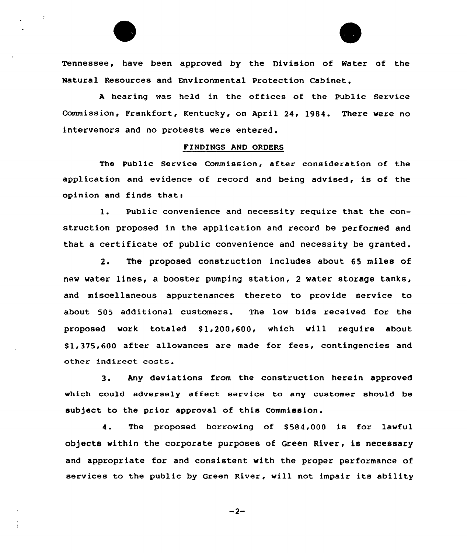Tennessee, have been approved by the Division of Water of the Natural Resources and Environmental Protection Cabinet.

<sup>A</sup> hear ing was held in the offices of the Public Service Commission, Frankfort, Kentucky, on April 24, 1984. There vere no intervenors and no protests were entered.

## FINDINGS AND ORDERS

The Public Service Commission, after consideration of the application and evidence of record and being advised, is of the opinion and finds that:

1. Public convenience and necessity require that the construction proposed in the application and record be performed and that a certificate of public convenience and necessity be granted.

2. The proposed construction includes about 65 miles of new water lines, a booster pumping station, 2 water storage tanks, and miscellaneous appurtenances thereto to provide service to about 505 additional customers. The low bids received for the proposed work totaled \$1,200,600, which will require about \$ 1,375,600 after allowances are made for fees, contingencies and other indirect costs.

3. Any deviations from the construction herein approved which could adversely affect service to any customer should be subject to the prior approval of this Commission.

4. The proposed borrowing of S584,000 is for lawful objects within the corporate purposes of Green River, is necessary and appropriate for and consistent vith the proper performance of services to the public by Green River, will not impair its ability

 $-2-$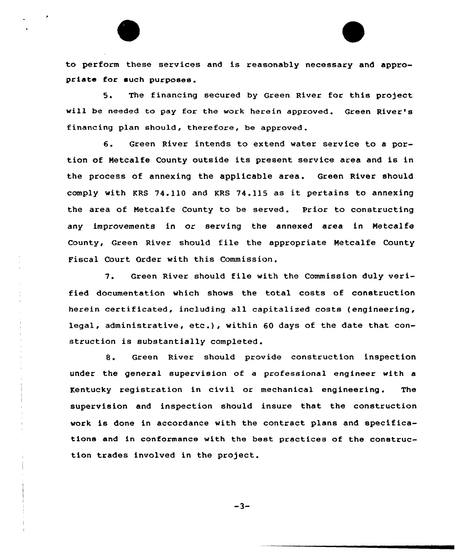to perform these services and is reasonably necessary and appropriate for such purposes.

5. The financing secured by Green River for this project will be needed to pay for the work herein approved. Green River's financing plan should, therefore, be approved .

6. Green River intends to extend water service to <sup>a</sup> portion of Netcalfe County outside its present service area and is in the process of annexing the applicable area. Green River should comply with KRS 74.110 and KRS 74.115 as it pertains to annexing the area of Netealfe County to be served. Prior to constructing any improvements in or serving the annexed area in Netcalfe County, Green River should file the appropriate Hetcalfe County Fiscal Court Order with this Commission .

7. Green River should file with the Commission duly verified documentation which shows the total costs of construction herein certificated, including all eapitalised costs (engineering, legal, administrative, etc.), within <sup>60</sup> days of the date that construction is substantially completed.

8. Green River should provide construction inspection under the general supervision of a professional engineer with a Kentucky registration in civil or mechanical engineering. The supervision and inspection should insure that the construction work is done in accordance with the contract plans and specifications and in conformance with the best practices of the construction trades involved in the project.

 $-3-$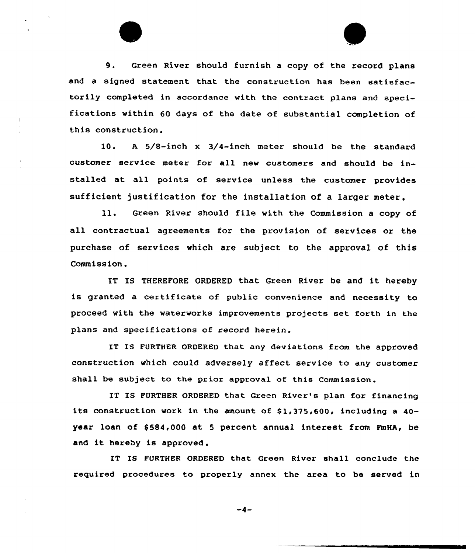

9. Green River should furnish <sup>a</sup> copy of the record plans and a signed statement that the construction has been satisfactorily completed in accordance with the contract plans and specifications within 60 days of the date of substantial completion of this construction.

10. <sup>A</sup> 5/8-inch x 3/4-inch meter should be the standard customer service meter for all new customers and should be installed at all points of service unless the customer provides sufficient justification for the installation of a larger meter.

Green River should file with the Commission <sup>a</sup> copy of  $11.$ all contractual agreements for the provision of services or the purchase of services which are subject to the approval of this Commission.

IT IS THEREFORE ORDERED that Green River be and it hereby is granted a certificate of public convenience and necessity to proceed with the waterworks improvements projects set forth in the plans and specifications of record herein.

IT IS FURTHER ORDERED that any deviations from the approved construction which could adversely affect service to any customer shall be subject to the prior approval of this Commission.

IT IS FURTHER ORDERED that Green River's plan for financing its construction work in the amount of  $$1,375,600$ , including a 40year loan of \$584,000 at 5 percent annual interest from FmHA, be and it hereby is approved .

IT IS FURTHER ORDERED that Green River shall conclude the required procedures to properly annex the area to be served in

 $-4-$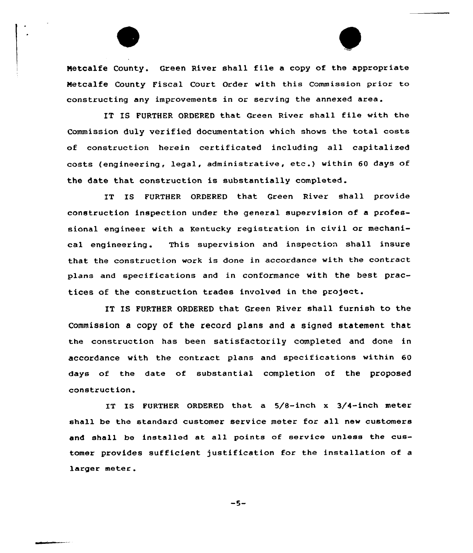Metcalfe County. Green River shall file <sup>a</sup> copy of the appropriate Netcalfe County Fiscal Court Ordex with this commission prior to constructing any improvements in or serving the annexed area.

IT IS FURTHER ORDERED that Green River shall file with the Commission duly verified documentation which shows the total costs of constxuction herein certificated including all capitalized costs (engineering, legal, administrative, etc.} within <sup>60</sup> days of the date that construction is substantially completed.

IT IS FURTHER ORDERED that Green River shall provide construction inspection under the general supervision of a professional engineer with a Kentucky registration in civil or mechanical engineering. This supervision and inspection shall insure that the construction work is done in accordance with the contract plans and specifications and in conformance with the best practices of the construction trades involved in the project.

IT IS FURTHER ORDERED that Gxeen River shall furnish to the Commission a copy of the recoxd plans and a signed statement that the constxuction has been satisfactorily completed and done in accordance with the contract plans and specifications within 60 days of the date of substantial completion of the proposed construction.

IT IS FURTHER ORDERED that a 5/8-inch x 3/4-inch meter shall be the standard customer service meter fox all new customers and shall be installed at all points of service unless the customer provides sufficient justification for the installation of a larger meter.

 $-5-$